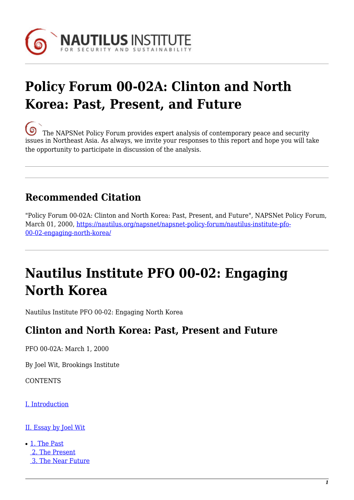

# **Policy Forum 00-02A: Clinton and North Korea: Past, Present, and Future**

[T](https://nautilus.org/wp-content/uploads/2013/05/nautilus-logo-small.png)he NAPSNet Policy Forum provides expert analysis of contemporary peace and security issues in Northeast Asia. As always, we invite your responses to this report and hope you will take the opportunity to participate in discussion of the analysis.

# **Recommended Citation**

"Policy Forum 00-02A: Clinton and North Korea: Past, Present, and Future", NAPSNet Policy Forum, March 01, 2000, [https://nautilus.org/napsnet/napsnet-policy-forum/nautilus-institute-pfo-](https://nautilus.org/napsnet/napsnet-policy-forum/nautilus-institute-pfo-00-02-engaging-north-korea/)[00-02-engaging-north-korea/](https://nautilus.org/napsnet/napsnet-policy-forum/nautilus-institute-pfo-00-02-engaging-north-korea/)

# **Nautilus Institute PFO 00-02: Engaging North Korea**

Nautilus Institute PFO 00-02: Engaging North Korea

### **Clinton and North Korea: Past, Present and Future**

PFO 00-02A: March 1, 2000

By Joel Wit, Brookings Institute

**CONTENTS** 

[I. Introduction](#page-1-0)

[II. Essay by Joel Wit](#page-1-1)

● [1. The Past](#page-1-2)  [2. The Present](#page-4-0)  [3. The Near Future](#page-6-0)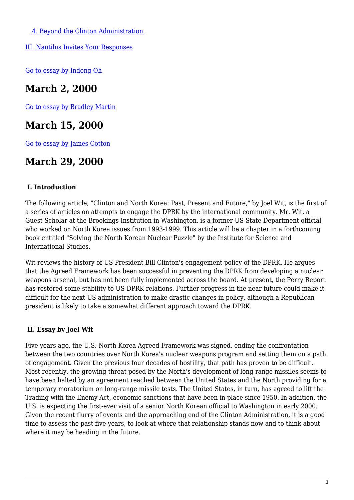[4. Beyond the Clinton Administration](#page-7-0) 

[III. Nautilus Invites Your Responses](#page-8-0)

[Go to essay by Indong Oh](https://nautilus.org/publications/essays/napsnet/forum/policy-forum-archive/nautilus-institute-policy-forum-online/)

# **March 2, 2000**

[Go to essay by Bradley Martin](https://nautilus.org/publications/essays/napsnet/forum/policy-forum-archive/nautilus-institute-policy-forum-online-2/)

### **March 15, 2000**

[Go to essay by James Cotton](https://nautilus.org/publications/essays/napsnet/forum/policy-forum-archive/nautilus-institute-pfo-00-02-engaging-north-korea-2/)

### **March 29, 2000**

#### <span id="page-1-0"></span> **I. Introduction**

The following article, "Clinton and North Korea: Past, Present and Future," by Joel Wit, is the first of a series of articles on attempts to engage the DPRK by the international community. Mr. Wit, a Guest Scholar at the Brookings Institution in Washington, is a former US State Department official who worked on North Korea issues from 1993-1999. This article will be a chapter in a forthcoming book entitled "Solving the North Korean Nuclear Puzzle" by the Institute for Science and International Studies.

Wit reviews the history of US President Bill Clinton's engagement policy of the DPRK. He argues that the Agreed Framework has been successful in preventing the DPRK from developing a nuclear weapons arsenal, but has not been fully implemented across the board. At present, the Perry Report has restored some stability to US-DPRK relations. Further progress in the near future could make it difficult for the next US administration to make drastic changes in policy, although a Republican president is likely to take a somewhat different approach toward the DPRK.

#### <span id="page-1-1"></span> **II. Essay by Joel Wit**

<span id="page-1-2"></span>Five years ago, the U.S.-North Korea Agreed Framework was signed, ending the confrontation between the two countries over North Korea's nuclear weapons program and setting them on a path of engagement. Given the previous four decades of hostility, that path has proven to be difficult. Most recently, the growing threat posed by the North's development of long-range missiles seems to have been halted by an agreement reached between the United States and the North providing for a temporary moratorium on long-range missile tests. The United States, in turn, has agreed to lift the Trading with the Enemy Act, economic sanctions that have been in place since 1950. In addition, the U.S. is expecting the first-ever visit of a senior North Korean official to Washington in early 2000. Given the recent flurry of events and the approaching end of the Clinton Administration, it is a good time to assess the past five years, to look at where that relationship stands now and to think about where it may be heading in the future.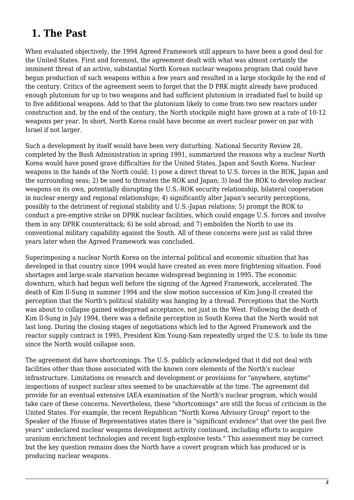### **1. The Past**

When evaluated objectively, the 1994 Agreed Framework still appears to have been a good deal for the United States. First and foremost, the agreement dealt with what was almost certainly the imminent threat of an active, substantial North Korean nuclear weapons program that could have begun production of such weapons within a few years and resulted in a large stockpile by the end of the century. Critics of the agreement seem to forget that the D PRK might already have produced enough plutonium for up to two weapons and had sufficient plutonium in irradiated fuel to build up to five additional weapons. Add to that the plutonium likely to come from two new reactors under construction and, by the end of the century, the North stockpile might have grown at a rate of 10-12 weapons per year. In short, North Korea could have become an overt nuclear power on par with Israel if not larger.

Such a development by itself would have been very disturbing. National Security Review 28, completed by the Bush Administration in spring 1991, summarized the reasons why a nuclear North Korea would have posed grave difficulties for the United States, Japan and South Korea. Nuclear weapons in the hands of the North could; 1) pose a direct threat to U.S. forces in the ROK, Japan and the surrounding seas; 2) be used to threaten the ROK and Japan; 3) lead the ROK to develop nuclear weapons on its own, potentially disrupting the U.S.-ROK security relationship, bilateral cooperation in nuclear energy and regional relationships; 4) significantly alter Japan's security perceptions, possibly to the detriment of regional stability and U.S.-Japan relations; 5) prompt the ROK to conduct a pre-emptive strike on DPRK nuclear facilities, which could engage U.S. forces and involve them in any DPRK counterattack; 6) be sold abroad; and 7) embolden the North to use its conventional military capability against the South. All of these concerns were just as valid three years later when the Agreed Framework was concluded.

Superimposing a nuclear North Korea on the internal political and economic situation that has developed in that country since 1994 would have created an even more frightening situation. Food shortages and large-scale starvation became widespread beginning in 1995. The economic downturn, which had begun well before the signing of the Agreed Framework, accelerated. The death of Kim Il-Sung in summer 1994 and the slow motion succession of Kim Jong-Il created the perception that the North's political stability was hanging by a thread. Perceptions that the North was about to collapse gained widespread acceptance, not just in the West. Following the death of Kim Il-Sung in July 1994, there was a definite perception in South Korea that the North would not last long. During the closing stages of negotiations which led to the Agreed Framework and the reactor supply contract in 1995, President Kim Young-Sam repeatedly urged the U.S. to bide its time since the North would collapse soon.

The agreement did have shortcomings. The U.S. publicly acknowledged that it did not deal with facilities other than those associated with the known core elements of the North's nuclear infrastructure. Limitations on research and development or provisions for "anywhere, anytime" inspections of suspect nuclear sites seemed to be unachievable at the time. The agreement did provide for an eventual extensive IAEA examination of the North's nuclear program, which would take care of these concerns. Nevertheless, these "shortcomings" are still the focus of criticism in the United States. For example, the recent Republican "North Korea Advisory Group" report to the Speaker of the House of Representatives states there is "significant evidence" that over the past five years" undeclared nuclear weapons development activity continued, including efforts to acquire uranium enrichment technologies and recent high-explosive tests." This assessment may be correct but the key question remains does the North have a covert program which has produced or is producing nuclear weapons.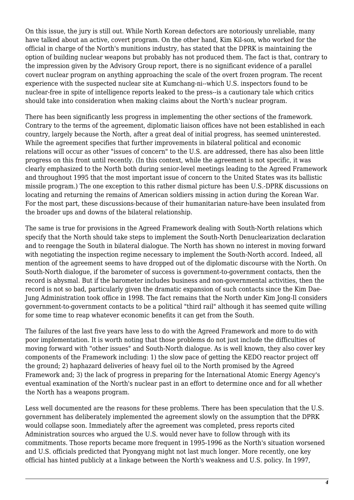On this issue, the jury is still out. While North Korean defectors are notoriously unreliable, many have talked about an active, covert program. On the other hand, Kim Kil-son, who worked for the official in charge of the North's munitions industry, has stated that the DPRK is maintaining the option of building nuclear weapons but probably has not produced them. The fact is that, contrary to the impression given by the Advisory Group report, there is no significant evidence of a parallel covert nuclear program on anything approaching the scale of the overt frozen program. The recent experience with the suspected nuclear site at Kumchang-ni--which U.S. inspectors found to be nuclear-free in spite of intelligence reports leaked to the press--is a cautionary tale which critics should take into consideration when making claims about the North's nuclear program.

There has been significantly less progress in implementing the other sections of the framework. Contrary to the terms of the agreement, diplomatic liaison offices have not been established in each country, largely because the North, after a great deal of initial progress, has seemed uninterested. While the agreement specifies that further improvements in bilateral political and economic relations will occur as other "issues of concern" to the U.S. are addressed, there has also been little progress on this front until recently. (In this context, while the agreement is not specific, it was clearly emphasized to the North both during senior-level meetings leading to the Agreed Framework and throughout 1995 that the most important issue of concern to the United States was its ballistic missile program.) The one exception to this rather dismal picture has been U.S.-DPRK discussions on locating and returning the remains of American soldiers missing in action during the Korean War. For the most part, these discussions-because of their humanitarian nature-have been insulated from the broader ups and downs of the bilateral relationship.

The same is true for provisions in the Agreed Framework dealing with South-North relations which specify that the North should take steps to implement the South-North Denuclearization declaration and to reengage the South in bilateral dialogue. The North has shown no interest in moving forward with negotiating the inspection regime necessary to implement the South-North accord. Indeed, all mention of the agreement seems to have dropped out of the diplomatic discourse with the North. On South-North dialogue, if the barometer of success is government-to-government contacts, then the record is abysmal. But if the barometer includes business and non-governmental activities, then the record is not so bad, particularly given the dramatic expansion of such contacts since the Kim Dae-Jung Administration took office in 1998. The fact remains that the North under Kim Jong-Il considers government-to-government contacts to be a political "third rail" although it has seemed quite willing for some time to reap whatever economic benefits it can get from the South.

The failures of the last five years have less to do with the Agreed Framework and more to do with poor implementation. It is worth noting that those problems do not just include the difficulties of moving forward with "other issues" and South-North dialogue. As is well known, they also cover key components of the Framework including: 1) the slow pace of getting the KEDO reactor project off the ground; 2) haphazard deliveries of heavy fuel oil to the North promised by the Agreed Framework and; 3) the lack of progress in preparing for the International Atomic Energy Agency's eventual examination of the North's nuclear past in an effort to determine once and for all whether the North has a weapons program.

Less well documented are the reasons for these problems. There has been speculation that the U.S. government has deliberately implemented the agreement slowly on the assumption that the DPRK would collapse soon. Immediately after the agreement was completed, press reports cited Administration sources who argued the U.S. would never have to follow through with its commitments. Those reports became more frequent in 1995-1996 as the North's situation worsened and U.S. officials predicted that Pyongyang might not last much longer. More recently, one key official has hinted publicly at a linkage between the North's weakness and U.S. policy. In 1997,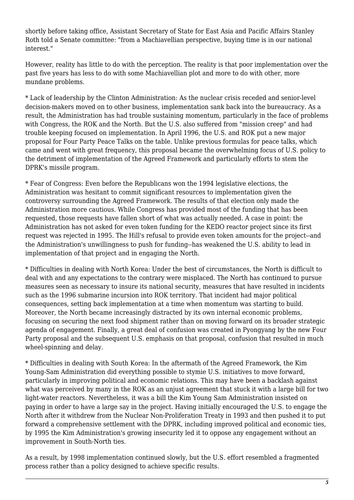shortly before taking office, Assistant Secretary of State for East Asia and Pacific Affairs Stanley Roth told a Senate committee: "from a Machiavellian perspective, buying time is in our national interest."

However, reality has little to do with the perception. The reality is that poor implementation over the past five years has less to do with some Machiavellian plot and more to do with other, more mundane problems.

\* Lack of leadership by the Clinton Administration: As the nuclear crisis receded and senior-level decision-makers moved on to other business, implementation sank back into the bureaucracy. As a result, the Administration has had trouble sustaining momentum, particularly in the face of problems with Congress, the ROK and the North. But the U.S. also suffered from "mission creep" and had trouble keeping focused on implementation. In April 1996, the U.S. and ROK put a new major proposal for Four Party Peace Talks on the table. Unlike previous formulas for peace talks, which came and went with great frequency, this proposal became the overwhelming focus of U.S. policy to the detriment of implementation of the Agreed Framework and particularly efforts to stem the DPRK's missile program.

\* Fear of Congress: Even before the Republicans won the 1994 legislative elections, the Administration was hesitant to commit significant resources to implementation given the controversy surrounding the Agreed Framework. The results of that election only made the Administration more cautious. While Congress has provided most of the funding that has been requested, those requests have fallen short of what was actually needed. A case in point: the Administration has not asked for even token funding for the KEDO reactor project since its first request was rejected in 1995. The Hill's refusal to provide even token amounts for the project--and the Administration's unwillingness to push for funding--has weakened the U.S. ability to lead in implementation of that project and in engaging the North.

\* Difficulties in dealing with North Korea: Under the best of circumstances, the North is difficult to deal with and any expectations to the contrary were misplaced. The North has continued to pursue measures seen as necessary to insure its national security, measures that have resulted in incidents such as the 1996 submarine incursion into ROK territory. That incident had major political consequences, setting back implementation at a time when momentum was starting to build. Moreover, the North became increasingly distracted by its own internal economic problems, focusing on securing the next food shipment rather than on moving forward on its broader strategic agenda of engagement. Finally, a great deal of confusion was created in Pyongyang by the new Four Party proposal and the subsequent U.S. emphasis on that proposal, confusion that resulted in much wheel-spinning and delay.

\* Difficulties in dealing with South Korea: In the aftermath of the Agreed Framework, the Kim Young-Sam Administration did everything possible to stymie U.S. initiatives to move forward, particularly in improving political and economic relations. This may have been a backlash against what was perceived by many in the ROK as an unjust agreement that stuck it with a large bill for two light-water reactors. Nevertheless, it was a bill the Kim Young Sam Administration insisted on paying in order to have a large say in the project. Having initially encouraged the U.S. to engage the North after it withdrew from the Nuclear Non-Proliferation Treaty in 1993 and then pushed it to put forward a comprehensive settlement with the DPRK, including improved political and economic ties, by 1995 the Kim Administration's growing insecurity led it to oppose any engagement without an improvement in South-North ties.

<span id="page-4-0"></span>As a result, by 1998 implementation continued slowly, but the U.S. effort resembled a fragmented process rather than a policy designed to achieve specific results.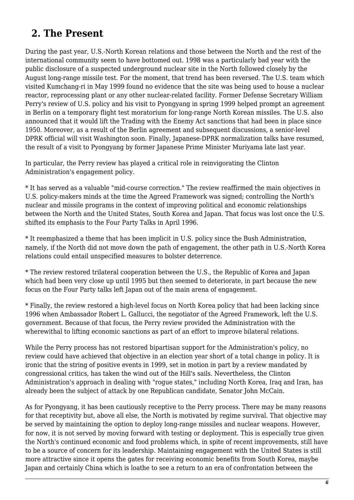# **2. The Present**

During the past year, U.S.-North Korean relations and those between the North and the rest of the international community seem to have bottomed out. 1998 was a particularly bad year with the public disclosure of a suspected underground nuclear site in the North followed closely by the August long-range missile test. For the moment, that trend has been reversed. The U.S. team which visited Kumchang-ri in May 1999 found no evidence that the site was being used to house a nuclear reactor, reprocessing plant or any other nuclear-related facility. Former Defense Secretary William Perry's review of U.S. policy and his visit to Pyongyang in spring 1999 helped prompt an agreement in Berlin on a temporary flight test moratorium for long-range North Korean missiles. The U.S. also announced that it would lift the Trading with the Enemy Act sanctions that had been in place since 1950. Moreover, as a result of the Berlin agreement and subsequent discussions, a senior-level DPRK official will visit Washington soon. Finally, Japanese-DPRK normalization talks have resumed, the result of a visit to Pyongyang by former Japanese Prime Minister Muriyama late last year.

In particular, the Perry review has played a critical role in reinvigorating the Clinton Administration's engagement policy.

\* It has served as a valuable "mid-course correction." The review reaffirmed the main objectives in U.S. policy-makers minds at the time the Agreed Framework was signed; controlling the North's nuclear and missile programs in the context of improving political and economic relationships between the North and the United States, South Korea and Japan. That focus was lost once the U.S. shifted its emphasis to the Four Party Talks in April 1996.

\* It reemphasized a theme that has been implicit in U.S. policy since the Bush Administration, namely, if the North did not move down the path of engagement, the other path in U.S.-North Korea relations could entail unspecified measures to bolster deterrence.

\* The review restored trilateral cooperation between the U.S., the Republic of Korea and Japan which had been very close up until 1995 but then seemed to deteriorate, in part because the new focus on the Four Party talks left Japan out of the main arena of engagement.

\* Finally, the review restored a high-level focus on North Korea policy that had been lacking since 1996 when Ambassador Robert L. Gallucci, the negotiator of the Agreed Framework, left the U.S. government. Because of that focus, the Perry review provided the Administration with the wherewithal to lifting economic sanctions as part of an effort to improve bilateral relations.

While the Perry process has not restored bipartisan support for the Administration's policy, no review could have achieved that objective in an election year short of a total change in policy. It is ironic that the string of positive events in 1999, set in motion in part by a review mandated by congressional critics, has taken the wind out of the Hill's sails. Nevertheless, the Clinton Administration's approach in dealing with "rogue states," including North Korea, Iraq and Iran, has already been the subject of attack by one Republican candidate, Senator John McCain.

As for Pyongyang, it has been cautiously receptive to the Perry process. There may be many reasons for that receptivity but, above all else, the North is motivated by regime survival. That objective may be served by maintaining the option to deploy long-range missiles and nuclear weapons. However, for now, it is not served by moving forward with testing or deployment. This is especially true given the North's continued economic and food problems which, in spite of recent improvements, still have to be a source of concern for its leadership. Maintaining engagement with the United States is still more attractive since it opens the gates for receiving economic benefits from South Korea, maybe Japan and certainly China which is loathe to see a return to an era of confrontation between the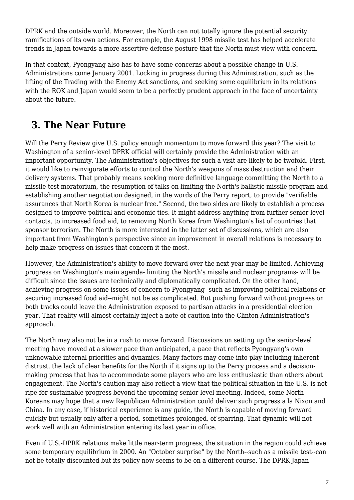DPRK and the outside world. Moreover, the North can not totally ignore the potential security ramifications of its own actions. For example, the August 1998 missile test has helped accelerate trends in Japan towards a more assertive defense posture that the North must view with concern.

In that context, Pyongyang also has to have some concerns about a possible change in U.S. Administrations come January 2001. Locking in progress during this Administration, such as the lifting of the Trading with the Enemy Act sanctions, and seeking some equilibrium in its relations with the ROK and Japan would seem to be a perfectly prudent approach in the face of uncertainty about the future.

# <span id="page-6-0"></span> **3. The Near Future**

Will the Perry Review give U.S. policy enough momentum to move forward this year? The visit to Washington of a senior-level DPRK official will certainly provide the Administration with an important opportunity. The Administration's objectives for such a visit are likely to be twofold. First, it would like to reinvigorate efforts to control the North's weapons of mass destruction and their delivery systems. That probably means seeking more definitive language committing the North to a missile test moratorium, the resumption of talks on limiting the North's ballistic missile program and establishing another negotiation designed, in the words of the Perry report, to provide "verifiable assurances that North Korea is nuclear free." Second, the two sides are likely to establish a process designed to improve political and economic ties. It might address anything from further senior-level contacts, to increased food aid, to removing North Korea from Washington's list of countries that sponsor terrorism. The North is more interested in the latter set of discussions, which are also important from Washington's perspective since an improvement in overall relations is necessary to help make progress on issues that concern it the most.

However, the Administration's ability to move forward over the next year may be limited. Achieving progress on Washington's main agenda- limiting the North's missile and nuclear programs- will be difficult since the issues are technically and diplomatically complicated. On the other hand, achieving progress on some issues of concern to Pyongyang--such as improving political relations or securing increased food aid--might not be as complicated. But pushing forward without progress on both tracks could leave the Administration exposed to partisan attacks in a presidential election year. That reality will almost certainly inject a note of caution into the Clinton Administration's approach.

The North may also not be in a rush to move forward. Discussions on setting up the senior-level meeting have moved at a slower pace than anticipated, a pace that reflects Pyongyang's own unknowable internal priorities and dynamics. Many factors may come into play including inherent distrust, the lack of clear benefits for the North if it signs up to the Perry process and a decisionmaking process that has to accommodate some players who are less enthusiastic than others about engagement. The North's caution may also reflect a view that the political situation in the U.S. is not ripe for sustainable progress beyond the upcoming senior-level meeting. Indeed, some North Koreans may hope that a new Republican Administration could deliver such progress a la Nixon and China. In any case, if historical experience is any guide, the North is capable of moving forward quickly but usually only after a period, sometimes prolonged, of sparring. That dynamic will not work well with an Administration entering its last year in office.

Even if U.S.-DPRK relations make little near-term progress, the situation in the region could achieve some temporary equilibrium in 2000. An "October surprise" by the North--such as a missile test--can not be totally discounted but its policy now seems to be on a different course. The DPRK-Japan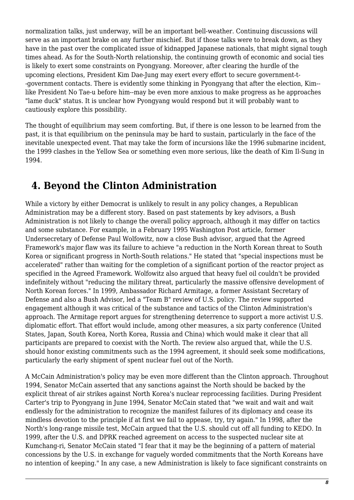normalization talks, just underway, will be an important bell-weather. Continuing discussions will serve as an important brake on any further mischief. But if those talks were to break down, as they have in the past over the complicated issue of kidnapped Japanese nationals, that might signal tough times ahead. As for the South-North relationship, the continuing growth of economic and social ties is likely to exert some constraints on Pyongyang. Moreover, after clearing the hurdle of the upcoming elections, President Kim Dae-Jung may exert every effort to secure government-t- -government contacts. There is evidently some thinking in Pyongyang that after the election, Kim- like President No Tae-u before him--may be even more anxious to make progress as he approaches "lame duck" status. It is unclear how Pyongyang would respond but it will probably want to cautiously explore this possibility.

The thought of equilibrium may seem comforting. But, if there is one lesson to be learned from the past, it is that equilibrium on the peninsula may be hard to sustain, particularly in the face of the inevitable unexpected event. That may take the form of incursions like the 1996 submarine incident, the 1999 clashes in the Yellow Sea or something even more serious, like the death of Kim Il-Sung in 1994.

# <span id="page-7-0"></span> **4. Beyond the Clinton Administration**

While a victory by either Democrat is unlikely to result in any policy changes, a Republican Administration may be a different story. Based on past statements by key advisors, a Bush Administration is not likely to change the overall policy approach, although it may differ on tactics and some substance. For example, in a February 1995 Washington Post article, former Undersecretary of Defense Paul Wolfowitz, now a close Bush advisor, argued that the Agreed Framework's major flaw was its failure to achieve "a reduction in the North Korean threat to South Korea or significant progress in North-South relations." He stated that "special inspections must be accelerated" rather than waiting for the completion of a significant portion of the reactor project as specified in the Agreed Framework. Wolfowitz also argued that heavy fuel oil couldn't be provided indefinitely without "reducing the military threat, particularly the massive offensive development of North Korean forces." In 1999, Ambassador Richard Armitage, a former Assistant Secretary of Defense and also a Bush Advisor, led a "Team B" review of U.S. policy. The review supported engagement although it was critical of the substance and tactics of the Clinton Administration's approach. The Armitage report argues for strengthening deterrence to support a more activist U.S. diplomatic effort. That effort would include, among other measures, a six party conference (United States, Japan, South Korea, North Korea, Russia and China) which would make it clear that all participants are prepared to coexist with the North. The review also argued that, while the U.S. should honor existing commitments such as the 1994 agreement, it should seek some modifications, particularly the early shipment of spent nuclear fuel out of the North.

A McCain Administration's policy may be even more different than the Clinton approach. Throughout 1994, Senator McCain asserted that any sanctions against the North should be backed by the explicit threat of air strikes against North Korea's nuclear reprocessing facilities. During President Carter's trip to Pyongyang in June 1994, Senator McCain stated that "we wait and wait and wait endlessly for the administration to recognize the manifest failures of its diplomacy and cease its mindless devotion to the principle if at first we fail to appease, try, try again." In 1998, after the North's long-range missile test, McCain argued that the U.S. should cut off all funding to KEDO. In 1999, after the U.S. and DPRK reached agreement on access to the suspected nuclear site at Kumchang-ri, Senator McCain stated "I fear that it may be the beginning of a pattern of material concessions by the U.S. in exchange for vaguely worded commitments that the North Koreans have no intention of keeping." In any case, a new Administration is likely to face significant constraints on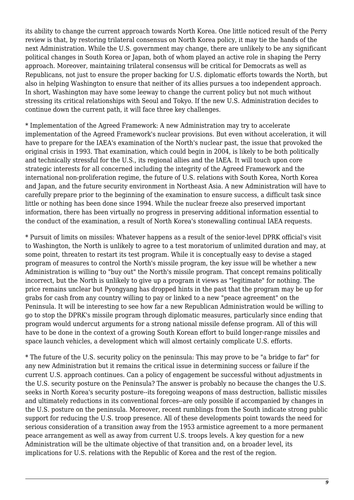its ability to change the current approach towards North Korea. One little noticed result of the Perry review is that, by restoring trilateral consensus on North Korea policy, it may tie the hands of the next Administration. While the U.S. government may change, there are unlikely to be any significant political changes in South Korea or Japan, both of whom played an active role in shaping the Perry approach. Moreover, maintaining trilateral consensus will be critical for Democrats as well as Republicans, not just to ensure the proper backing for U.S. diplomatic efforts towards the North, but also in helping Washington to ensure that neither of its allies pursues a too independent approach. In short, Washington may have some leeway to change the current policy but not much without stressing its critical relationships with Seoul and Tokyo. If the new U.S. Administration decides to continue down the current path, it will face three key challenges.

\* Implementation of the Agreed Framework: A new Administration may try to accelerate implementation of the Agreed Framework's nuclear provisions. But even without acceleration, it will have to prepare for the IAEA's examination of the North's nuclear past, the issue that provoked the original crisis in 1993. That examination, which could begin in 2004, is likely to be both politically and technically stressful for the U.S., its regional allies and the IAEA. It will touch upon core strategic interests for all concerned including the integrity of the Agreed Framework and the international non-proliferation regime, the future of U.S. relations with South Korea, North Korea and Japan, and the future security environment in Northeast Asia. A new Administration will have to carefully prepare prior to the beginning of the examination to ensure success, a difficult task since little or nothing has been done since 1994. While the nuclear freeze also preserved important information, there has been virtually no progress in preserving additional information essential to the conduct of the examination, a result of North Korea's stonewalling continual IAEA requests.

\* Pursuit of limits on missiles: Whatever happens as a result of the senior-level DPRK official's visit to Washington, the North is unlikely to agree to a test moratorium of unlimited duration and may, at some point, threaten to restart its test program. While it is conceptually easy to devise a staged program of measures to control the North's missile program, the key issue will be whether a new Administration is willing to "buy out" the North's missile program. That concept remains politically incorrect, but the North is unlikely to give up a program it views as "legitimate" for nothing. The price remains unclear but Pyongyang has dropped hints in the past that the program may be up for grabs for cash from any country willing to pay or linked to a new "peace agreement" on the Peninsula. It will be interesting to see how far a new Republican Administration would be willing to go to stop the DPRK's missile program through diplomatic measures, particularly since ending that program would undercut arguments for a strong national missile defense program. All of this will have to be done in the context of a growing South Korean effort to build longer-range missiles and space launch vehicles, a development which will almost certainly complicate U.S. efforts.

<span id="page-8-0"></span>\* The future of the U.S. security policy on the peninsula: This may prove to be "a bridge to far" for any new Administration but it remains the critical issue in determining success or failure if the current U.S. approach continues. Can a policy of engagement be successful without adjustments in the U.S. security posture on the Peninsula? The answer is probably no because the changes the U.S. seeks in North Korea's security posture--its foregoing weapons of mass destruction, ballistic missiles and ultimately reductions in its conventional forces--are only possible if accompanied by changes in the U.S. posture on the peninsula. Moreover, recent rumblings from the South indicate strong public support for reducing the U.S. troop presence. All of these developments point towards the need for serious consideration of a transition away from the 1953 armistice agreement to a more permanent peace arrangement as well as away from current U.S. troops levels. A key question for a new Administration will be the ultimate objective of that transition and, on a broader level, its implications for U.S. relations with the Republic of Korea and the rest of the region.